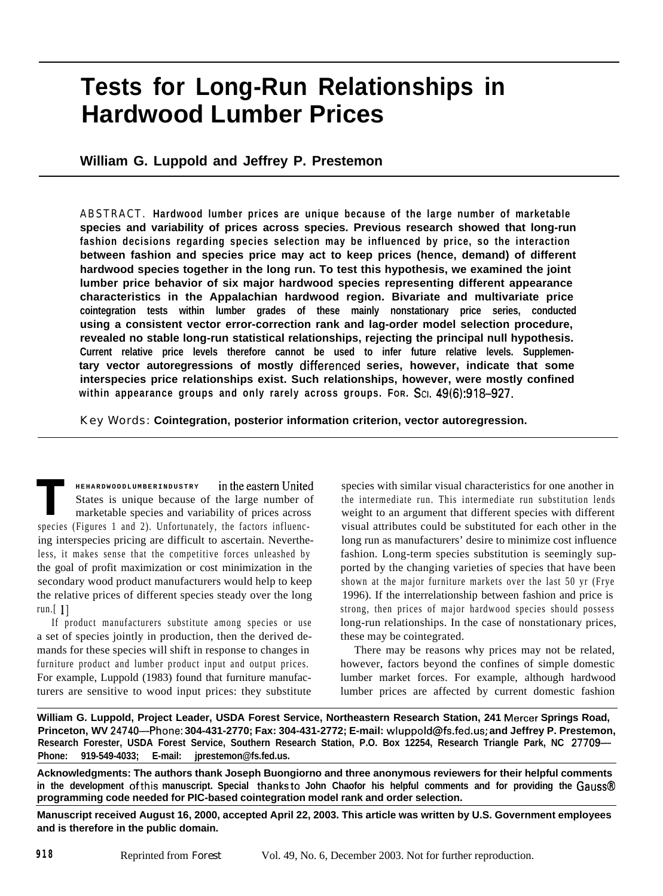# **Tests for Long-Run Relationships in Hardwood Lumber Prices**

## **William G. Luppold and Jeffrey P. Prestemon**

ABSTRACT. **Hardwood lumber prices are unique because of the large number of marketable species and variability of prices across species. Previous research showed that long-run fashion decisions regarding species selection may be influenced by price, so the interaction between fashion and species price may act to keep prices (hence, demand) of different hardwood species together in the long run. To test this hypothesis, we examined the joint lumber price behavior of six major hardwood species representing different appearance characteristics in the Appalachian hardwood region. Bivariate and multivariate price cointegration tests within lumber grades of these mainly nonstationary price series, conducted using a consistent vector error-correction rank and lag-order model selection procedure, revealed no stable long-run statistical relationships, rejecting the principal null hypothesis. Current relative price levels therefore cannot be used to infer future relative levels. Supplementary vector autoregressions of mostly differenced series, however, indicate that some interspecies price relationships exist. Such relationships, however, were mostly confined within appearance groups and only rarely across groups. FOR. SCI. 49(6):918-927.**

Key Words: **Cointegration, posterior information criterion, vector autoregression.**

**T HEHARDWOODLUMBERINDUSTRY** in the eastern United States is unique because of the large number of marketable species and variability of prices across species (Figures 1 and 2). Unfortunately, the factors influencing interspecies pricing are difficult to ascertain. Nevertheless, it makes sense that the competitive forces unleashed by the goal of profit maximization or cost minimization in the secondary wood product manufacturers would help to keep the relative prices of different species steady over the long run. $[1]$ 

If product manufacturers substitute among species or use a set of species jointly in production, then the derived demands for these species will shift in response to changes in furniture product and lumber product input and output prices. For example, Luppold (1983) found that furniture manufacturers are sensitive to wood input prices: they substitute species with similar visual characteristics for one another in the intermediate run. This intermediate run substitution lends weight to an argument that different species with different visual attributes could be substituted for each other in the long run as manufacturers' desire to minimize cost influence fashion. Long-term species substitution is seemingly supported by the changing varieties of species that have been shown at the major furniture markets over the last 50 yr (Frye 1996). If the interrelationship between fashion and price is strong, then prices of major hardwood species should possess long-run relationships. In the case of nonstationary prices, these may be cointegrated.

There may be reasons why prices may not be related, however, factors beyond the confines of simple domestic lumber market forces. For example, although hardwood lumber prices are affected by current domestic fashion

**William G. Luppold, Project Leader, USDA Forest Service, Northeastern Research Station, 241 Mercer Springs Road, Princeton, WV 24740-Phone: 304-431-2770; Fax: 304-431-2772; E-mail: wluppold@fs.fed.us; and Jeffrey P. Prestemon, Research Forester, USDA Forest Service, Southern Research Station, P.O. Box 12254, Research Triangle Park, NC 27709- Phone: 919-549-4033; E-mail: jprestemon@fs.fed.us.**

**Acknowledgments: The authors thank Joseph Buongiorno and three anonymous reviewers for their helpful comments in the development ofthis manuscript. Special thanksto John Chaofor his helpful comments and for providing the Gauss@ programming code needed for PIC-based cointegration model rank and order selection.**

**Manuscript received August 16, 2000, accepted April 22, 2003. This article was written by U.S. Government employees and is therefore in the public domain.**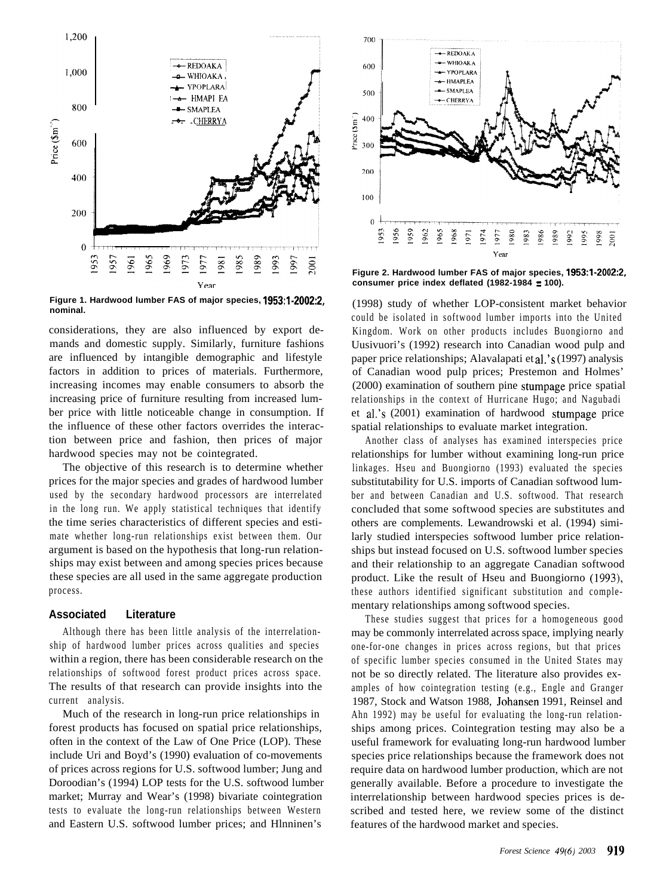

**Figure 1. Hardwood lumber FAS of major species, 1953:1-2002:2, nominal.**

considerations, they are also influenced by export demands and domestic supply. Similarly, furniture fashions are influenced by intangible demographic and lifestyle factors in addition to prices of materials. Furthermore, increasing incomes may enable consumers to absorb the increasing price of furniture resulting from increased lumber price with little noticeable change in consumption. If the influence of these other factors overrides the interaction between price and fashion, then prices of major hardwood species may not be cointegrated.

The objective of this research is to determine whether prices for the major species and grades of hardwood lumber used by the secondary hardwood processors are interrelated in the long run. We apply statistical techniques that identify the time series characteristics of different species and estimate whether long-run relationships exist between them. Our argument is based on the hypothesis that long-run relationships may exist between and among species prices because these species are all used in the same aggregate production process.

#### **Associated Literature**

Although there has been little analysis of the interrelationship of hardwood lumber prices across qualities and species within a region, there has been considerable research on the relationships of softwood forest product prices across space. The results of that research can provide insights into the current analysis.

Much of the research in long-run price relationships in forest products has focused on spatial price relationships, often in the context of the Law of One Price (LOP). These include Uri and Boyd's (1990) evaluation of co-movements of prices across regions for U.S. softwood lumber; Jung and Doroodian's (1994) LOP tests for the U.S. softwood lumber market; Murray and Wear's (1998) bivariate cointegration tests to evaluate the long-run relationships between Western and Eastern U.S. softwood lumber prices; and Hlnninen's



**Figure 2. Hardwood lumber FAS of major species, 1953:1-2002:2, consumer price index deflated (1982-1984 = 100).**

(1998) study of whether LOP-consistent market behavior could be isolated in softwood lumber imports into the United Kingdom. Work on other products includes Buongiorno and Uusivuori's (1992) research into Canadian wood pulp and paper price relationships; Alavalapati et al.'s (1997) analysis of Canadian wood pulp prices; Prestemon and Holmes' (2000) examination of southern pine stumpage price spatial relationships in the context of Hurricane Hugo; and Nagubadi et al.'s (2001) examination of hardwood stumpage price spatial relationships to evaluate market integration.

Another class of analyses has examined interspecies price relationships for lumber without examining long-run price linkages. Hseu and Buongiorno (1993) evaluated the species substitutability for U.S. imports of Canadian softwood lumber and between Canadian and U.S. softwood. That research concluded that some softwood species are substitutes and others are complements. Lewandrowski et al. (1994) similarly studied interspecies softwood lumber price relationships but instead focused on U.S. softwood lumber species and their relationship to an aggregate Canadian softwood product. Like the result of Hseu and Buongiorno (1993), these authors identified significant substitution and complementary relationships among softwood species.

These studies suggest that prices for a homogeneous good may be commonly interrelated across space, implying nearly one-for-one changes in prices across regions, but that prices of specific lumber species consumed in the United States may not be so directly related. The literature also provides examples of how cointegration testing (e.g., Engle and Granger 1987, Stock and Watson 1988, Johansen 1991, Reinsel and Ahn 1992) may be useful for evaluating the long-run relationships among prices. Cointegration testing may also be a useful framework for evaluating long-run hardwood lumber species price relationships because the framework does not require data on hardwood lumber production, which are not generally available. Before a procedure to investigate the interrelationship between hardwood species prices is described and tested here, we review some of the distinct features of the hardwood market and species.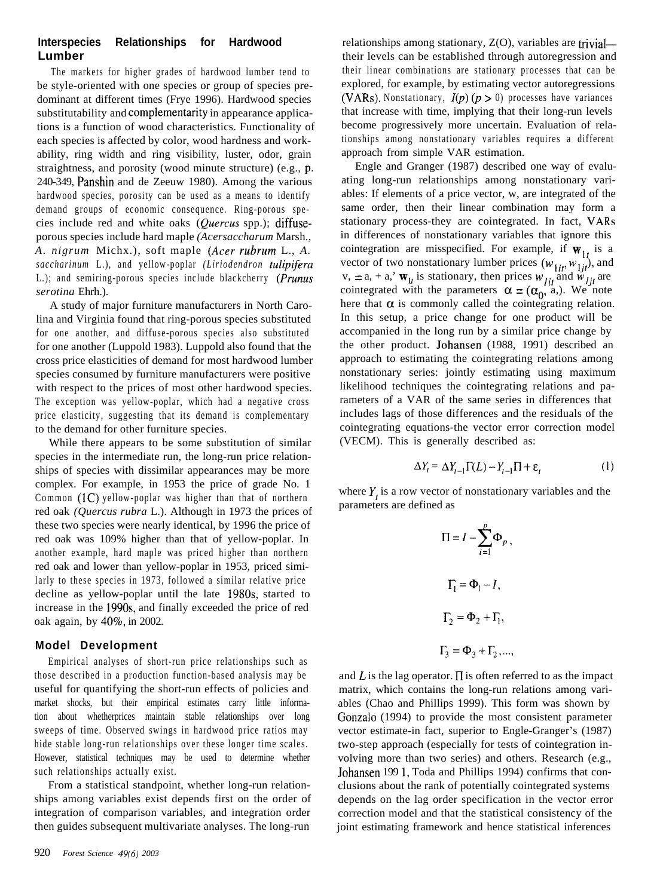## **Interspecies Relationships for Hardwood Lumber**

The markets for higher grades of hardwood lumber tend to be style-oriented with one species or group of species predominant at different times (Frye 1996). Hardwood species substitutability and complementarity in appearance applications is a function of wood characteristics. Functionality of each species is affected by color, wood hardness and workability, ring width and ring visibility, luster, odor, grain straightness, and porosity (wood minute structure) (e.g., p, 240-349, Panshin and de Zeeuw 1980). Among the various hardwood species, porosity can be used as a means to identify demand groups of economic consequence. Ring-porous species include red and white oaks (Quercus spp.); diffuseporous species include hard maple *(Acersaccharum* Marsh., *A. nigrum* Michx.), soft maple *(Acer rubrum* L., *A. saccharinum* L.), and yellow-poplar *(Liriodendron tulipifera* L.); and semiring-porous species include blackcherry *(Prunus serotina* Ehrh.).

A study of major furniture manufacturers in North Carolina and Virginia found that ring-porous species substituted for one another, and diffuse-porous species also substituted for one another (Luppold 1983). Luppold also found that the cross price elasticities of demand for most hardwood lumber species consumed by furniture manufacturers were positive with respect to the prices of most other hardwood species. The exception was yellow-poplar, which had a negative cross price elasticity, suggesting that its demand is complementary to the demand for other furniture species.

While there appears to be some substitution of similar species in the intermediate run, the long-run price relationships of species with dissimilar appearances may be more complex. For example, in 1953 the price of grade No. 1 Common (1C) yellow-poplar was higher than that of northern red oak *(Quercus rubra* L.). Although in 1973 the prices of these two species were nearly identical, by 1996 the price of red oak was 109% higher than that of yellow-poplar. In another example, hard maple was priced higher than northern red oak and lower than yellow-poplar in 1953, priced similarly to these species in 1973, followed a similar relative price decline as yellow-poplar until the late 198Os, started to increase in the 199Os, and finally exceeded the price of red oak again, by 40%, in 2002.

#### **Model Development**

Empirical analyses of short-run price relationships such as those described in a production function-based analysis may be useful for quantifying the short-run effects of policies and market shocks, but their empirical estimates carry little information about whetherprices maintain stable relationships over long sweeps of time. Observed swings in hardwood price ratios may hide stable long-run relationships over these longer time scales. However, statistical techniques may be used to determine whether such relationships actually exist.

From a statistical standpoint, whether long-run relationships among variables exist depends first on the order of integration of comparison variables, and integration order then guides subsequent multivariate analyses. The long-run

relationships among stationary,  $Z(O)$ , variables are trivialtheir levels can be established through autoregression and their linear combinations are stationary processes that can be explored, for example, by estimating vector autoregressions (VARs). Nonstationary,  $I(p)$   $(p > 0)$  processes have variances that increase with time, implying that their long-run levels become progressively more uncertain. Evaluation of relationships among nonstationary variables requires a different approach from simple VAR estimation.

Engle and Granger (1987) described one way of evaluating long-run relationships among nonstationary variables: If elements of a price vector, w, are integrated of the same order, then their linear combination may form a stationary process-they are cointegrated. In fact, VARs in differences of nonstationary variables that ignore this cointegration are misspecified. For example, if  $W_{1t}$  is a vector of two nonstationary lumber prices  $(w_{1it}, w_{1it})$ , and v, = a, + a,'  $\mathbf{w}_{1t}$  is stationary, then prices  $w_{1it}$  and  $\dot{w}_{1it}$  are cointegrated with the parameters  $\alpha = (\alpha_0, \alpha)$ . We note here that  $\alpha$  is commonly called the cointegrating relation. In this setup, a price change for one product will be accompanied in the long run by a similar price change by the other product. Johansen (1988, 1991) described an approach to estimating the cointegrating relations among nonstationary series: jointly estimating using maximum likelihood techniques the cointegrating relations and parameters of a VAR of the same series in differences that includes lags of those differences and the residuals of the cointegrating equations-the vector error correction model (VECM). This is generally described as:

$$
\Delta Y_t = \Delta Y_{t-1} \Gamma(L) - Y_{t-1} \Pi + \varepsilon_t \tag{1}
$$

where  $Y_t$  is a row vector of nonstationary variables and the parameters are defined as

$$
\Pi = I - \sum_{i=1}^{p} \Phi_p,
$$
  

$$
\Gamma_1 = \Phi_1 - I,
$$
  

$$
\Gamma_2 = \Phi_2 + \Gamma_1,
$$
  

$$
\Gamma_3 = \Phi_3 + \Gamma_2, ...,
$$

and L is the lag operator.  $\Pi$  is often referred to as the impact matrix, which contains the long-run relations among variables (Chao and Phillips 1999). This form was shown by Gonzalo (1994) to provide the most consistent parameter vector estimate-in fact, superior to Engle-Granger's (1987) two-step approach (especially for tests of cointegration involving more than two series) and others. Research (e.g., Johansen 199 1, Toda and Phillips 1994) confirms that conclusions about the rank of potentially cointegrated systems depends on the lag order specification in the vector error correction model and that the statistical consistency of the joint estimating framework and hence statistical inferences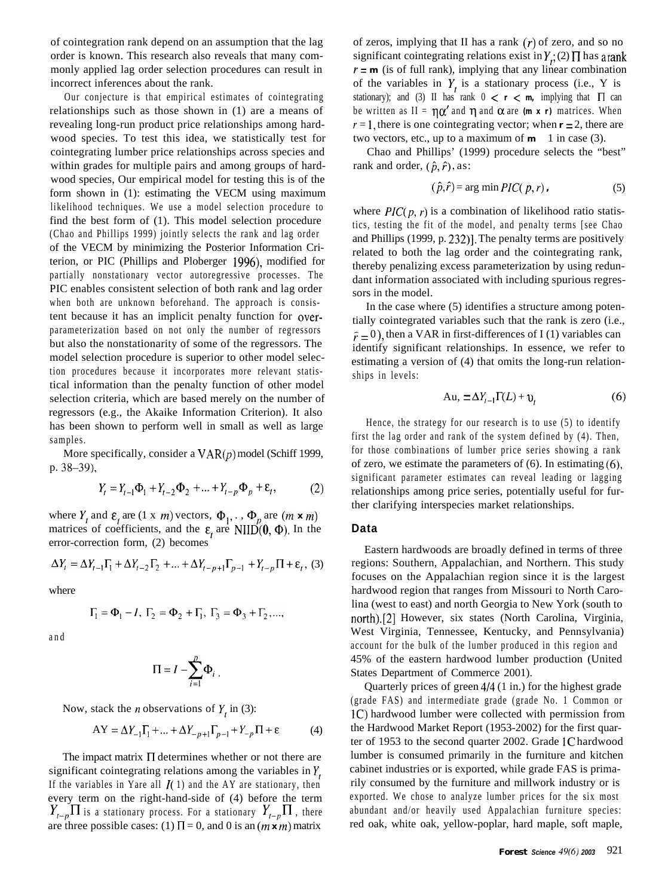of cointegration rank depend on an assumption that the lag order is known. This research also reveals that many commonly applied lag order selection procedures can result in incorrect inferences about the rank.

Our conjecture is that empirical estimates of cointegrating relationships such as those shown in (1) are a means of revealing long-run product price relationships among hardwood species. To test this idea, we statistically test for cointegrating lumber price relationships across species and within grades for multiple pairs and among groups of hardwood species, Our empirical model for testing this is of the form shown in (1): estimating the VECM using maximum likelihood techniques. We use a model selection procedure to find the best form of (1). This model selection procedure (Chao and Phillips 1999) jointly selects the rank and lag order of the VECM by minimizing the Posterior Information Criterion, or PIC (Phillips and Ploberger 1996), modified for partially nonstationary vector autoregressive processes. The PIC enables consistent selection of both rank and lag order when both are unknown beforehand. The approach is consistent because it has an implicit penalty function for overparameterization based on not only the number of regressors but also the nonstationarity of some of the regressors. The model selection procedure is superior to other model selection procedures because it incorporates more relevant statistical information than the penalty function of other model selection criteria, which are based merely on the number of regressors (e.g., the Akaike Information Criterion). It also has been shown to perform well in small as well as large samples.

More specifically, consider a  $VAR(p)$  model (Schiff 1999, p. 38-39),

$$
Y_{t} = Y_{t-1}\Phi_{1} + Y_{t-2}\Phi_{2} + ... + Y_{t-p}\Phi_{p} + \varepsilon_{t},
$$
 (2)

where  $Y_t$  and  $\varepsilon_t$  are (1 x m) vectors,  $\Phi_1, \dots, \Phi_p$  are  $(m \times m)$ matrices of coefficients, and the  $\varepsilon$ , are NIID(0,  $\Phi$ ). In the error-correction form, (2) becomes

$$
\Delta Y_t = \Delta Y_{t-1} \Gamma_1 + \Delta Y_{t-2} \Gamma_2 + ... + \Delta Y_{t-p+1} \Gamma_{p-1} + Y_{t-p} \Pi + \varepsilon_t, (3)
$$

where

$$
\Gamma_1 = \Phi_1 - I
$$
,  $\Gamma_2 = \Phi_2 + \Gamma_1$ ,  $\Gamma_3 = \Phi_3 + \Gamma_2$ ,...,

and

$$
\Pi = I - \sum_{i=1}^{p} \Phi_i
$$

Now, stack the *n* observations of  $Y$ , in (3):

$$
AY = \Delta Y_{-1}\Gamma_1 + \dots + \Delta Y_{-p+1}\Gamma_{p-1} + Y_{-p}\Pi + \varepsilon
$$
 (4)

The impact matrix  $\Pi$  determines whether or not there are significant cointegrating relations among the variables in  $Y_t$ , If the variables in Yare all  $\mathcal{I}(1)$  and the AY are stationary, then every term on the right-hand-side of (4) before the term  $Y_{t-p}\prod$  is a stationary process. For a stationary  $Y_{t-p}\prod$ , there are three possible cases: (1)  $\Pi = 0$ , and 0 is an  $(m \times m)$  matrix

of zeros, implying that II has a rank  $(r)$  of zero, and so no significant cointegrating relations exist in  $Y_t$ ; (2)  $\Pi$  has arank  $r = m$  (is of full rank), implying that any linear combination of the variables in  $Y_t$  is a stationary process (i.e., Y is stationary); and (3) II has rank  $0 < r < m$ , implying that  $\Pi$  can be written as  $II = \eta \alpha'$  and  $\eta$  and  $\alpha$  are *(m x r)* matrices. When  $r = 1$ , there is one cointegrating vector; when  $r = 2$ , there are two vectors, etc., up to a maximum of  $\mathbf{m}$  - 1 in case (3).

Chao and Phillips' (1999) procedure selects the "best" rank and order,  $(\hat{p}, \hat{r})$ , as:

$$
(\hat{p}, \hat{r}) = \arg\min PIC(p, r), \qquad (5)
$$

where  $\text{PIC}(p, r)$  is a combination of likelihood ratio statistics, testing the fit of the model, and penalty terms [see Chao and Phillips (1999, p. 232)]. The penalty terms are positively related to both the lag order and the cointegrating rank, thereby penalizing excess parameterization by using redundant information associated with including spurious regressors in the model.

In the case where (5) identifies a structure among potentially cointegrated variables such that the rank is zero (i.e.,  $\hat{r} = 0$ ), then a VAR in first-differences of I (1) variables can identify significant relationships. In essence, we refer to estimating a version of (4) that omits the long-run relationships in levels:

$$
Au_{t} = \Delta Y_{t-1} \Gamma(L) + v_{t}
$$
 (6)

Hence, the strategy for our research is to use (5) to identify first the lag order and rank of the system defined by (4). Then, for those combinations of lumber price series showing a rank of zero, we estimate the parameters of  $(6)$ . In estimating  $(6)$ , significant parameter estimates can reveal leading or lagging relationships among price series, potentially useful for further clarifying interspecies market relationships.

#### **Data**

Eastern hardwoods are broadly defined in terms of three regions: Southern, Appalachian, and Northern. This study focuses on the Appalachian region since it is the largest hardwood region that ranges from Missouri to North Carolina (west to east) and north Georgia to New York (south to north).[2] However, six states (North Carolina, Virginia, West Virginia, Tennessee, Kentucky, and Pennsylvania) account for the bulk of the lumber produced in this region and 45% of the eastern hardwood lumber production (United States Department of Commerce 2001).

Quarterly prices of green 4/4 (1 in.) for the highest grade (grade FAS) and intermediate grade (grade No. 1 Common or 1C) hardwood lumber were collected with permission from the Hardwood Market Report (1953-2002) for the first quarter of 1953 to the second quarter 2002. Grade 1C hardwood lumber is consumed primarily in the furniture and kitchen cabinet industries or is exported, while grade FAS is primarily consumed by the furniture and millwork industry or is exported. We chose to analyze lumber prices for the six most abundant and/or heavily used Appalachian furniture species: red oak, white oak, yellow-poplar, hard maple, soft maple,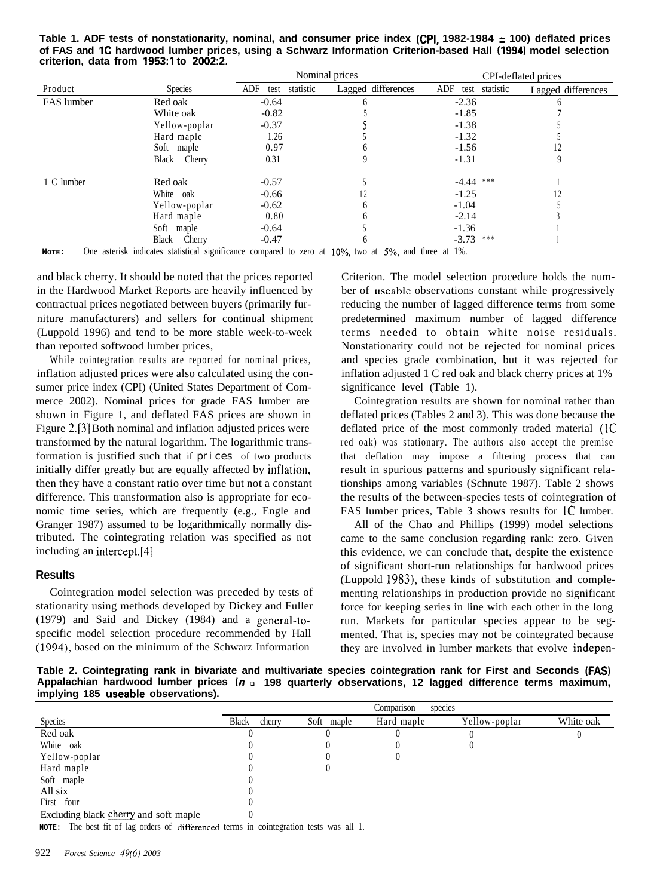**Table 1. ADF tests of nonstationarity, nominal, and consumer price index (CPI, 1982-1984 = 100) deflated prices of FAS and IC hardwood lumber prices, using a Schwarz Information Criterion-based Hall (1994) model selection criterion, data from 1953:l to 2002:2.**

|            |                 | Nominal prices           |                    | CPI-deflated prices   |                    |
|------------|-----------------|--------------------------|--------------------|-----------------------|--------------------|
| Product    | <b>Species</b>  | ADF<br>statistic<br>test | Lagged differences | ADF<br>test statistic | Lagged differences |
| FAS lumber | Red oak         | $-0.64$                  | h                  | $-2.36$               | h                  |
|            | White oak       | $-0.82$                  |                    | $-1.85$               |                    |
|            | Yellow-poplar   | $-0.37$                  |                    | $-1.38$               |                    |
|            | Hard maple      | 1.26                     |                    | $-1.32$               |                    |
|            | Soft maple      | 0.97                     | O                  | $-1.56$               |                    |
|            | Cherry<br>Black | 0.31                     |                    | $-1.31$               |                    |
| 1 C lumber | Red oak         | $-0.57$                  |                    | $-4.44$ ***           |                    |
|            | White oak       | $-0.66$                  |                    | $-1.25$               |                    |
|            | Yellow-poplar   | $-0.62$                  | <sub>6</sub>       | $-1.04$               |                    |
|            | Hard maple      | 0.80                     |                    | $-2.14$               |                    |
|            | Soft maple      | $-0.64$                  |                    | $-1.36$               |                    |
|            | Black<br>Cherry | $-0.47$                  |                    | $-3.73$ ***           |                    |

**NOTE:** One asterisk indicates statistical significance compared to zero at 10%, two at 5%, and three at 1%.

and black cherry. It should be noted that the prices reported in the Hardwood Market Reports are heavily influenced by contractual prices negotiated between buyers (primarily furniture manufacturers) and sellers for continual shipment (Luppold 1996) and tend to be more stable week-to-week than reported softwood lumber prices,

While cointegration results are reported for nominal prices, inflation adjusted prices were also calculated using the consumer price index (CPI) (United States Department of Commerce 2002). Nominal prices for grade FAS lumber are shown in Figure 1, and deflated FAS prices are shown in Figure 2.[3] Both nominal and inflation adjusted prices were transformed by the natural logarithm. The logarithmic transformation is justified such that if prices of two products initially differ greatly but are equally affected by intlation, then they have a constant ratio over time but not a constant difference. This transformation also is appropriate for economic time series, which are frequently (e.g., Engle and Granger 1987) assumed to be logarithmically normally distributed. The cointegrating relation was specified as not including an intercept.[4]

#### **Results**

Cointegration model selection was preceded by tests of stationarity using methods developed by Dickey and Fuller (1979) and Said and Dickey (1984) and a general-tospecific model selection procedure recommended by Hall (1994), based on the minimum of the Schwarz Information

Criterion. The model selection procedure holds the number of useable observations constant while progressively reducing the number of lagged difference terms from some predetermined maximum number of lagged difference terms needed to obtain white noise residuals. Nonstationarity could not be rejected for nominal prices and species grade combination, but it was rejected for inflation adjusted 1 C red oak and black cherry prices at 1% significance level (Table 1).

Cointegration results are shown for nominal rather than deflated prices (Tables 2 and 3). This was done because the deflated price of the most commonly traded material (1C red oak) was stationary. The authors also accept the premise that deflation may impose a filtering process that can result in spurious patterns and spuriously significant relationships among variables (Schnute 1987). Table 2 shows the results of the between-species tests of cointegration of FAS lumber prices, Table 3 shows results for 1C lumber.

All of the Chao and Phillips (1999) model selections came to the same conclusion regarding rank: zero. Given this evidence, we can conclude that, despite the existence of significant short-run relationships for hardwood prices (Luppold 1983), these kinds of substitution and complementing relationships in production provide no significant force for keeping series in line with each other in the long run. Markets for particular species appear to be segmented. That is, species may not be cointegrated because they are involved in lumber markets that evolve indepen-

**Table 2. Cointegrating rank in bivariate and multivariate species cointegration rank for First and Seconds (FAS) Appalachian hardwood lumber prices (n** <sup>q</sup>**198 quarterly observations, 12 lagged difference terms maximum, implying 185 useable observations).**

|                                       | Comparison<br>species  |            |            |               |           |  |
|---------------------------------------|------------------------|------------|------------|---------------|-----------|--|
| <b>Species</b>                        | <b>Black</b><br>cherry | Soft maple | Hard maple | Yellow-poplar | White oak |  |
| Red oak                               |                        |            |            |               |           |  |
| White oak                             |                        |            |            |               |           |  |
| Yellow-poplar                         |                        |            |            |               |           |  |
| Hard maple                            |                        |            |            |               |           |  |
| Soft maple                            |                        |            |            |               |           |  |
| All six                               |                        |            |            |               |           |  |
| First four                            |                        |            |            |               |           |  |
| Excluding black cherry and soft maple |                        |            |            |               |           |  |

**NOTE:** The best fit of lag orders of differenced terms in cointegration tests was all 1.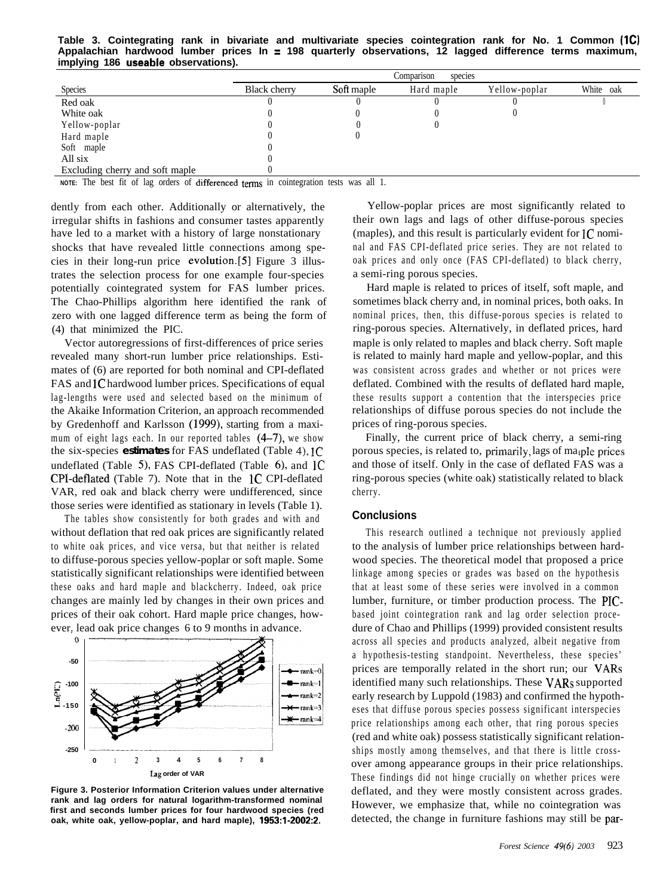**Table 3. Cointegrating rank in bivariate and multivariate species cointegration rank for No. 1 Common (ICI Appalachian hardwood lumber prices In = 198 quarterly observations, 12 lagged difference terms maximum, implying 186 useable observations).**

|                                 | Comparison<br>species |            |            |               |           |  |
|---------------------------------|-----------------------|------------|------------|---------------|-----------|--|
| Species                         | <b>Black cherry</b>   | Soft maple | Hard maple | Yellow-poplar | White oak |  |
| Red oak                         |                       |            |            |               |           |  |
| White oak                       |                       |            |            |               |           |  |
| Yellow-poplar                   |                       |            |            |               |           |  |
| Hard maple                      |                       |            |            |               |           |  |
| Soft maple                      |                       |            |            |               |           |  |
| All six                         |                       |            |            |               |           |  |
| Excluding cherry and soft maple |                       |            |            |               |           |  |

**NOTE:** The best fit of lag orders of differenced terms in cointegration tests was all 1.

dently from each other. Additionally or alternatively, the irregular shifts in fashions and consumer tastes apparently have led to a market with a history of large nonstationary shocks that have revealed little connections among species in their long-run price evolution.[5] Figure 3 illustrates the selection process for one example four-species potentially cointegrated system for FAS lumber prices. The Chao-Phillips algorithm here identified the rank of zero with one lagged difference term as being the form of (4) that minimized the PIC.

Vector autoregressions of first-differences of price series revealed many short-run lumber price relationships. Estimates of (6) are reported for both nominal and CPI-deflated FAS and 1C hardwood lumber prices. Specifications of equal lag-lengths were used and selected based on the minimum of the Akaike Information Criterion, an approach recommended by Gredenhoff and Karlsson (1999), starting from a maximum of eight lags each. In our reported tables  $(4-7)$ , we show the six-species **estimates** for FAS undeflated (Table 4), 1C undeflated (Table 5), FAS CPI-deflated (Table 6), and  $1C$ CPI-deflated (Table 7). Note that in the 1C CPI-deflated VAR, red oak and black cherry were undifferenced, since those series were identified as stationary in levels (Table 1).

The tables show consistently for both grades and with and without deflation that red oak prices are significantly related to white oak prices, and vice versa, but that neither is related to diffuse-porous species yellow-poplar or soft maple. Some statistically significant relationships were identified between these oaks and hard maple and blackcherry. Indeed, oak price changes are mainly led by changes in their own prices and prices of their oak cohort. Hard maple price changes, however. lead oak price changes 6 to 9 months in advance.



**Figure 3. Posterior Information Criterion values under alternative rank and lag orders for natural logarithm-transformed nominal first and seconds lumber prices for four hardwood species (red oak, white oak, yellow-poplar, and hard maple), 1953:1-2002:2.**

Yellow-poplar prices are most significantly related to their own lags and lags of other diffuse-porous species (maples), and this result is particularly evident for  ${C}$  nominal and FAS CPI-deflated price series. They are not related to oak prices and only once (FAS CPI-deflated) to black cherry, a semi-ring porous species.

Hard maple is related to prices of itself, soft maple, and sometimes black cherry and, in nominal prices, both oaks. In nominal prices, then, this diffuse-porous species is related to ring-porous species. Alternatively, in deflated prices, hard maple is only related to maples and black cherry. Soft maple is related to mainly hard maple and yellow-poplar, and this was consistent across grades and whether or not prices were deflated. Combined with the results of deflated hard maple, these results support a contention that the interspecies price relationships of diffuse porous species do not include the prices of ring-porous species.

Finally, the current price of black cherry, a semi-ring porous species, is related to, primarily, lags of maple prices and those of itself. Only in the case of deflated FAS was a ring-porous species (white oak) statistically related to black cherry.

#### **Conclusions**

This research outlined a technique not previously applied to the analysis of lumber price relationships between hardwood species. The theoretical model that proposed a price linkage among species or grades was based on the hypothesis that at least some of these series were involved in a common lumber, furniture, or timber production process. The PICbased joint cointegration rank and lag order selection procedure of Chao and Phillips (1999) provided consistent results across all species and products analyzed, albeit negative from a hypothesis-testing standpoint. Nevertheless, these species' prices are temporally related in the short run; our VARs identified many such relationships. These VARs supported early research by Luppold (1983) and confirmed the hypotheses that diffuse porous species possess significant interspecies price relationships among each other, that ring porous species (red and white oak) possess statistically significant relationships mostly among themselves, and that there is little crossover among appearance groups in their price relationships. These findings did not hinge crucially on whether prices were deflated, and they were mostly consistent across grades. However, we emphasize that, while no cointegration was detected, the change in furniture fashions may still be par-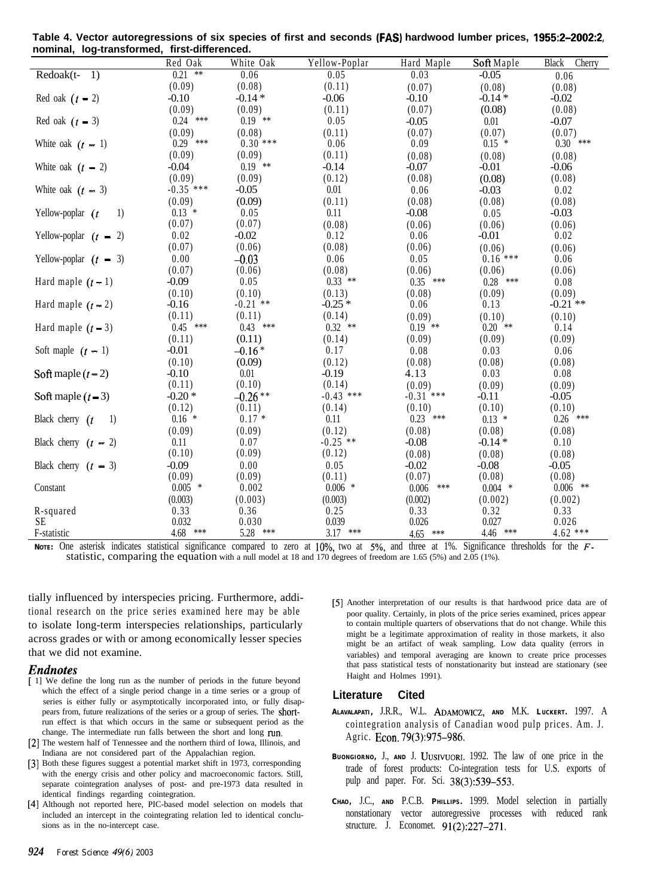| nominal, log-transformed, inst-differenced. |             |            |               |              |            |                        |  |
|---------------------------------------------|-------------|------------|---------------|--------------|------------|------------------------|--|
|                                             | Red Oak     | White Oak  | Yellow-Poplar | Hard Maple   | Soft Maple | <b>Black</b><br>Cherry |  |
| Redoak(t-<br>$\left(1\right)$               | $0.21$ **   | 0.06       | 0.05          | 0.03         | $-0.05$    | 0.06                   |  |
|                                             | (0.09)      | (0.08)     | (0.11)        | (0.07)       | (0.08)     | (0.08)                 |  |
| Red oak $(t - 2)$                           | $-0.10$     | $-0.14*$   | $-0.06$       | $-0.10$      | $-0.14*$   | $-0.02$                |  |
|                                             | (0.09)      | (0.09)     | (0.11)        | (0.07)       | (0.08)     | (0.08)                 |  |
| Red oak $(t = 3)$                           | $0.24$ ***  | $0.19$ **  | 0.05          | $-0.05$      | 0.01       | $-0.07$                |  |
|                                             | (0.09)      | (0.08)     | (0.11)        | (0.07)       | (0.07)     | (0.07)                 |  |
| White oak $(t - 1)$                         | $0.29$ ***  | $0.30$ *** | 0.06          | 0.09         | $0.15$ *   | $0.30$ ***             |  |
|                                             | (0.09)      | (0.09)     | (0.11)        | (0.08)       | (0.08)     | (0.08)                 |  |
| White oak $(t - 2)$                         | $-0.04$     | $0.19$ **  | $-0.14$       | $-0.07$      | $-0.01$    | $-0.06$                |  |
|                                             | (0.09)      | (0.09)     | (0.12)        | (0.08)       | (0.08)     | (0.08)                 |  |
| White oak $(t - 3)$                         | $-0.35$ *** | $-0.05$    | 0.01          | 0.06         | $-0.03$    | 0.02                   |  |
|                                             | (0.09)      | (0.09)     | (0.11)        | (0.08)       | (0.08)     | (0.08)                 |  |
| Yellow-poplar $(t$<br>1)                    | $0.13$ *    | 0.05       | 0.11          | $-0.08$      | 0.05       | $-0.03$                |  |
|                                             | (0.07)      | (0.07)     | (0.08)        | (0.06)       | (0.06)     | (0.06)                 |  |
| Yellow-poplar $(t - 2)$                     | 0.02        | $-0.02$    | 0.12          | 0.06         | $-0.01$    | 0.02                   |  |
|                                             | (0.07)      | (0.06)     | (0.08)        | (0.06)       | (0.06)     | (0.06)                 |  |
| Yellow-poplar $(t - 3)$                     | 0.00        | $-0.03$    | 0.06          | 0.05         | $0.16$ *** | 0.06                   |  |
|                                             | (0.07)      | (0.06)     | (0.08)        | (0.06)       | (0.06)     | (0.06)                 |  |
| Hard maple $(t-1)$                          | $-0.09$     | 0.05       | $0.33$ **     | $0.35$ ***   | $0.28$ *** | 0.08                   |  |
|                                             | (0.10)      | (0.10)     | (0.13)        | (0.08)       | (0.09)     | (0.09)                 |  |
| Hard maple $(t-2)$                          | $-0.16$     | $-0.21$ ** | $-0.25*$      | 0.06         | 0.13       | $-0.21$ **             |  |
|                                             | (0.11)      | (0.11)     | (0.14)        | (0.09)       | (0.10)     | (0.10)                 |  |
| Hard maple $(t-3)$                          | $0.45$ ***  | $0.43$ *** | $0.32$ **     | $0.19$ **    | $0.20$ **  | 0.14                   |  |
|                                             | (0.11)      | (0.11)     | (0.14)        | (0.09)       | (0.09)     | (0.09)                 |  |
| Soft maple $(t - 1)$                        | $-0.01$     | $-0.16*$   | 0.17          | 0.08         | 0.03       | 0.06                   |  |
|                                             | (0.10)      | (0.09)     | (0.12)        | (0.08)       | (0.08)     | (0.08)                 |  |
| Soft maple $(t-2)$                          | $-0.10$     | 0.01       | $-0.19$       | 4.13         | 0.03       | 0.08                   |  |
|                                             | (0.11)      | (0.10)     | (0.14)        | (0.09)       | (0.09)     | (0.09)                 |  |
| Soft maple $(t-3)$                          | $-0.20*$    | $-0.26**$  | $-0.43$ ***   | $-0.31$ ***  | $-0.11$    | $-0.05$                |  |
|                                             | (0.12)      | (0.11)     | (0.14)        | (0.10)       | (0.10)     | (0.10)                 |  |
| Black cherry $(t$<br>1)                     | $0.16*$     | $0.17*$    | 0.11          | $0.23$ ***   | $0.13$ *   | $0.26$ ***             |  |
|                                             | (0.09)      | (0.09)     | (0.12)        | (0.08)       | (0.08)     | (0.08)                 |  |
| Black cherry $(t - 2)$                      | 0.11        | 0.07       | $-0.25$ **    | $-0.08$      | $-0.14*$   | 0.10                   |  |
|                                             | (0.10)      | (0.09)     | (0.12)        | (0.08)       | (0.08)     | (0.08)                 |  |
| Black cherry $(t - 3)$                      | $-0.09$     | 0.00       | 0.05          | $-0.02$      | $-0.08$    | $-0.05$                |  |
|                                             | (0.09)      | (0.09)     | (0.11)        | (0.07)       | (0.08)     | (0.08)                 |  |
| Constant                                    | $0.005$ *   | 0.002      | $0.006$ *     | 0.006<br>*** | $0.004$ *  | $0.006$ **             |  |
|                                             | (0.003)     | (0.003)    | (0.003)       | (0.002)      | (0.002)    | (0.002)                |  |
| R-squared                                   | 0.33        | 0.36       | 0.25          | 0.33         | 0.32       | 0.33                   |  |
| <b>SE</b>                                   | 0.032       | 0.030      | 0.039         | 0.026        | 0.027      | 0.026                  |  |
| F-statistic                                 | 4.68 ***    | 5.28 ***   | $3.17$ ***    | 4.65 ***     | 4.46 ***   | $4.62$ ***             |  |

**Table 4. Vector autoregressions of six species of first and seconds (FAS) hardwood lumber prices, 1955:2-2002:2, nominal, log-transformed, first-differenced.**

Note: One asterisk indicates statistical significance compared to zero at 10%, two at 5%, and three at 1%. Significance thresholds for the Fstatistic, comparing the equation with a null model at 18 and 170 degrees of freedom are 1.65 (5%) and 2.05 (1%).

tially influenced by interspecies pricing. Furthermore, additional research on the price series examined here may be able to isolate long-term interspecies relationships, particularly across grades or with or among economically lesser species that we did not examine.

#### *Endnotes*

- [ 1] We define the long run as the number of periods in the future beyond which the effect of a single period change in a time series or a group of series is either fully or asymptotically incorporated into, or fully disappears from, future realizations of the series or a group of series. The shortrun effect is that which occurs in the same or subsequent period as the change. The intermediate run falls between the short and long run.
- [2] The western half of Tennessee and the northern third of Iowa, Illinois, and Indiana are not considered part of the Appalachian region.
- [3] Both these figures suggest a potential market shift in 1973, corresponding with the energy crisis and other policy and macroeconomic factors. Still, separate cointegration analyses of post- and pre-1973 data resulted in identical findings regarding cointegration.
- [4] Although not reported here, PIC-based model selection on models that included an intercept in the cointegrating relation led to identical conclusions as in the no-intercept case.

[5] Another interpretation of our results is that hardwood price data are of poor quality. Certainly, in plots of the price series examined, prices appear to contain multiple quarters of observations that do not change. While this might be a legitimate approximation of reality in those markets, it also might be an artifact of weak sampling. Low data quality (errors in variables) and temporal averaging are known to create price processes that pass statistical tests of nonstationarity but instead are stationary (see Haight and Holmes 1991).

## **Literature Cited**

- **ALAVALAPATI ,** J.R.R., W.L. **ADAMOWICZ, AND** M.K. **LUCKERT.** 1997. A cointegration analysis of Canadian wood pulp prices. Am. J. Agric. Econ. 79(3):975-986.
- **BUONGIORNO,** J., **AND** J. **UUSIVUORI.** 1992. The law of one price in the trade of forest products: Co-integration tests for U.S. exports of pulp and paper. For. Sci. 38(3):539-553.
- **CHAO,** J.C., **AND** P.C.B. **PHILLIPS.** 1999. Model selection in partially nonstationary vector autoregressive processes with reduced rank structure. J. Economet. 91(2):227-271.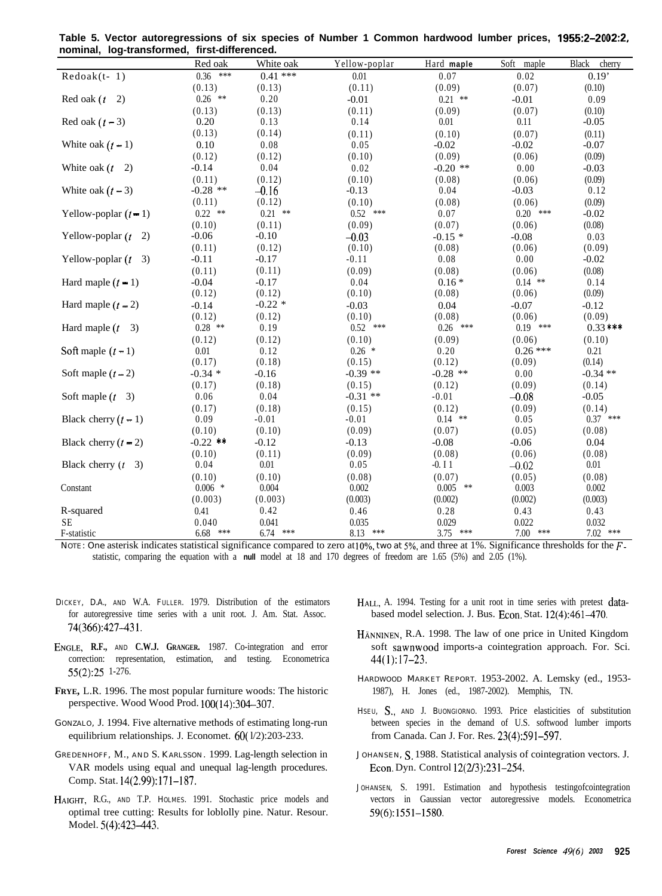| nominai, log-transiormeu,   | <u>III St-UIITEI EITCEU.</u> |             |               |             |             |                        |
|-----------------------------|------------------------------|-------------|---------------|-------------|-------------|------------------------|
|                             | Red oak                      | White oak   | Yellow-poplar | Hard maple  | Soft maple  | <b>Black</b><br>cherry |
| $Redoak(t-1)$               | $0.36$ ***                   | $0.41***$   | 0.01          | 0.07        | 0.02        | 0.19'                  |
|                             | (0.13)                       | (0.13)      | (0.11)        | (0.09)      | (0.07)      | (0.10)                 |
| Red oak $(t)$<br>2)         | $0.26$ **                    | 0.20        | $-0.01$       | $0.21$ **   | $-0.01$     | 0.09                   |
|                             | (0.13)                       | (0.13)      | (0.11)        | (0.09)      | (0.07)      | (0.10)                 |
| Red oak $(t - 3)$           | 0.20                         | 0.13        | 0.14          | 0.01        | 0.11        | $-0.05$                |
|                             | (0.13)                       | (0.14)      | (0.11)        | (0.10)      | (0.07)      | (0.11)                 |
| White oak $(t-1)$           | 0.10                         | 0.08        | 0.05          | $-0.02$     | $-0.02$     | $-0.07$                |
|                             | (0.12)                       | (0.12)      | (0.10)        | (0.09)      | (0.06)      | (0.09)                 |
| White oak $(t \t 2)$        | $-0.14$                      | 0.04        | 0.02          | $-0.20$ **  | 0.00        | $-0.03$                |
|                             | (0.11)                       | (0.12)      | (0.10)        | (0.08)      | (0.06)      | (0.09)                 |
| White oak $(t - 3)$         | $-0.28$ **                   | $-0.16$     | $-0.13$       | 0.04        | $-0.03$     | 0.12                   |
|                             | (0.11)                       | (0.12)      | (0.10)        | (0.08)      | (0.06)      | (0.09)                 |
| Yellow-poplar $(t - 1)$     | $0.22$ **                    | $0.21$ **   | $0.52$ ***    | 0.07        | $0.20$ ***  | $-0.02$                |
|                             | (0.10)                       | (0.11)      | (0.09)        | (0.07)      | (0.06)      | (0.08)                 |
| Yellow-poplar $(t$<br>2)    | $-0.06$                      | $-0.10$     | $-0.03$       | $-0.15*$    | $-0.08$     | 0.03                   |
|                             | (0.11)                       | (0.12)      | (0.10)        | (0.08)      | (0.06)      | (0.09)                 |
| Yellow-poplar $(t \quad 3)$ | $-0.11$                      | $-0.17$     | $-0.11$       | 0.08        | 0.00        | $-0.02$                |
|                             | (0.11)                       | (0.11)      | (0.09)        | (0.08)      | (0.06)      | (0.08)                 |
| Hard maple $(t - 1)$        | $-0.04$                      | $-0.17$     | 0.04          | $0.16*$     | $0.14$ **   | 0.14                   |
|                             | (0.12)                       | (0.12)      | (0.10)        | (0.08)      | (0.06)      | (0.09)                 |
| Hard maple $(t - 2)$        | $-0.14$                      | $-0.22*$    | $-0.03$       | 0.04        | $-0.07$     | $-0.12$                |
|                             | (0.12)                       | (0.12)      | (0.10)        | (0.08)      | (0.06)      | (0.09)                 |
| Hard maple $(t$<br>3)       | $0.28$ **                    | 0.19        | $0.52$ ***    | ***<br>0.26 | $0.19$ ***  | $0.33***$              |
|                             | (0.12)                       | (0.12)      | (0.10)        | (0.09)      | (0.06)      | (0.10)                 |
| Soft maple $(t-1)$          | 0.01                         | 0.12        | $0.26$ *      | 0.20        | $0.26***$   | 0.21                   |
|                             | (0.17)                       | (0.18)      | (0.15)        | (0.12)      | (0.09)      | (0.14)                 |
| Soft maple $(t-2)$          | $-0.34*$                     | $-0.16$     | $-0.39$ **    | $-0.28$ **  | 0.00        | $-0.34$ **             |
|                             | (0.17)                       | (0.18)      | (0.15)        | (0.12)      | (0.09)      | (0.14)                 |
| Soft maple $(t \quad 3)$    | 0.06                         | 0.04        | $-0.31$ **    | $-0.01$     | $-0.08$     | $-0.05$                |
|                             | (0.17)                       | (0.18)      | (0.15)        | (0.12)      | (0.09)      | (0.14)                 |
| Black cherry $(t - 1)$      | 0.09                         | $-0.01$     | $-0.01$       | $0.14$ **   | 0.05        | $0.37$ ***             |
|                             | (0.10)                       | (0.10)      | (0.09)        | (0.07)      | (0.05)      | (0.08)                 |
| Black cherry $(t - 2)$      | $-0.22$ **                   | $-0.12$     | $-0.13$       | $-0.08$     | $-0.06$     | 0.04                   |
|                             | (0.10)                       | (0.11)      | (0.09)        | (0.08)      | (0.06)      | (0.08)                 |
| Black cherry $(t \quad 3)$  | 0.04                         | 0.01        | 0.05          | $-0.11$     | $-0.02$     | 0.01                   |
|                             | (0.10)                       | (0.10)      | (0.08)        | (0.07)      | (0.05)      | (0.08)                 |
| Constant                    | $0.006$ *                    | 0.004       | 0.002         | 0.005<br>** | 0.003       | 0.002                  |
|                             | (0.003)                      | (0.003)     | (0.003)       | (0.002)     | (0.002)     | (0.003)                |
| R-squared                   | 0.41                         | 0.42        | 0.46          | 0.28        | 0.43        | 0.43                   |
| <b>SE</b>                   | 0.040                        | 0.041       | 0.035         | 0.029       | 0.022       | 0.032                  |
| F-statistic                 | $6.68$ ***                   | 6.74<br>*** | 8.13 ***      | $3.75$ ***  | 7.00<br>*** | $7.02$ ***             |

**Table 5. Vector autoregressions of six species of Number 1 Common hardwood lumber prices, 1955:2-2002:2, nominal, log-transformed, first-differenced.**

NOTE: One asterisk indicates statistical significance compared to zero at 10%, two at 5%, and three at 1%. Significance thresholds for the Fstatistic, comparing the equation with a **null** model at 18 and 170 degrees of freedom are 1.65 (5%) and 2.05 (1%).

- DICKEY, D.A., AND W.A. FULLER. 1979. Distribution of the estimators for autoregressive time series with a unit root. J. Am. Stat. Assoc. 74(366):427-43 1.
- **ENGLE, R.F.,** AND **C.W.J. GRANGER.** 1987. Co-integration and error correction: representation, estimation, and testing. Econometrica .55(2):25 1-276.
- **FRYE,** L.R. 1996. The most popular furniture woods: The historic perspective. Wood Wood Prod. lOO( 14):304-307.
- GONZALO, J. 1994. Five alternative methods of estimating long-run equilibrium relationships. J. Economet.  $60(1/2)$ :203-233.
- GREDENHOFF, M., AND S. KARLSSON. 1999. Lag-length selection in VAR models using equal and unequal lag-length procedures. Comp. Stat. 14(2.99):171-187.
- HAIGHT, R.G., AND T.P. HOLMES. 1991. Stochastic price models and optimal tree cutting: Results for loblolly pine. Natur. Resour. Model. 5(4):423-443.
- HALI., A. 1994. Testing for a unit root in time series with pretest databased model selection. J. Bus. Econ. Stat. 12(4):461-470.
- HANNINEN, R.A. 1998. The law of one price in United Kingdom soft sawnwood imports-a cointegration approach. For. Sci. 44(1):17-23.
- HARDWOOD MARKET REPORT. 1953-2002. A. Lemsky (ed., 1953- 1987), H. Jones (ed., 1987-2002). Memphis, TN.
- HSEU, S., AND J. BUONGIORNO. 1993. Price elasticities of substitution between species in the demand of U.S. softwood lumber imports from Canada. Can J. For. Res. 23(4):591-597.
- JOHANSEN, S. 1988. Statistical analysis of cointegration vectors. J. Econ. Dyn. Control 12(2/3):231-254.
- JOHANSEN, S. 1991. Estimation and hypothesis testingofcointegration vectors in Gaussian vector autoregressive models. Econometrica 59(6):1551-1580.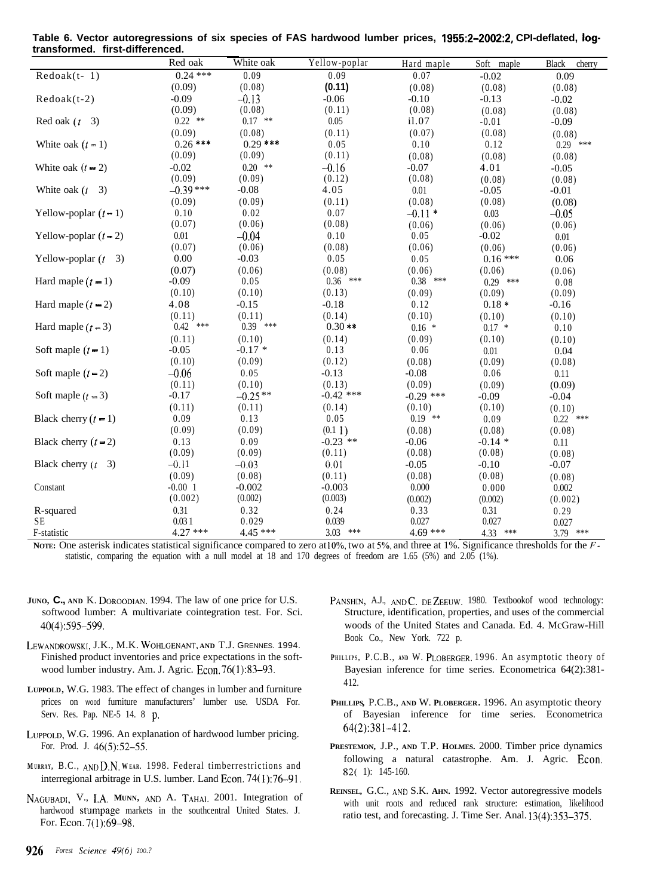| Table 6. Vector autoregressions of six species of FAS hardwood lumber prices, 1955:2-2002:2, CPI-deflated, log- |  |
|-----------------------------------------------------------------------------------------------------------------|--|
| transformed. first-differenced.                                                                                 |  |

|                             | Red oak    | White oak  | Yellow-poplar | Hard maple  | Soft maple | <b>Black</b><br>cherry |
|-----------------------------|------------|------------|---------------|-------------|------------|------------------------|
| $Redoak(t-1)$               | $0.24$ *** | 0.09       | 0.09          | 0.07        | $-0.02$    | 0.09                   |
|                             | (0.09)     | (0.08)     | (0.11)        | (0.08)      | (0.08)     | (0.08)                 |
| $Redoak(t-2)$               | $-0.09$    | $-0.13$    | $-0.06$       | $-0.10$     | $-0.13$    | $-0.02$                |
|                             | (0.09)     | (0.08)     | (0.11)        | (0.08)      | (0.08)     | (0.08)                 |
| Red oak $(t \quad 3)$       | $0.22$ **  | $0.17$ **  | 0.05          | i1.07       | $-0.01$    | $-0.09$                |
|                             | (0.09)     | (0.08)     | (0.11)        | (0.07)      | (0.08)     | (0.08)                 |
| White oak $(t-1)$           | $0.26$ *** | $0.29$ *** | 0.05          | 0.10        | 0.12       | $0.29$ ***             |
|                             | (0.09)     | (0.09)     | (0.11)        | (0.08)      | (0.08)     | (0.08)                 |
| White oak $(t - 2)$         | $-0.02$    | $0.20$ **  | $-0.16$       | $-0.07$     | 4.01       | $-0.05$                |
|                             | (0.09)     | (0.09)     | (0.12)        | (0.08)      | (0.08)     | (0.08)                 |
| White oak $(t \ 3)$         | $-0.39***$ | $-0.08$    | 4.05          | 0.01        | $-0.05$    | $-0.01$                |
|                             | (0.09)     | (0.09)     | (0.11)        | (0.08)      | (0.08)     | (0.08)                 |
| Yellow-poplar $(t-1)$       | 0.10       | 0.02       | 0.07          | $-0.11*$    | 0.03       | $-0.05$                |
|                             | (0.07)     | (0.06)     | (0.08)        | (0.06)      | (0.06)     | (0.06)                 |
| Yellow-poplar $(t-2)$       | 0.01       | $-0.04$    | 0.10          | 0.05        | $-0.02$    | 0.01                   |
|                             | (0.07)     | (0.06)     | (0.08)        | (0.06)      | (0.06)     | (0.06)                 |
| Yellow-poplar $(t \quad 3)$ | 0.00       | $-0.03$    | 0.05          | 0.05        | $0.16***$  | 0.06                   |
|                             | (0.07)     | (0.06)     | (0.08)        | (0.06)      | (0.06)     | (0.06)                 |
| Hard maple $(t-1)$          | $-0.09$    | 0.05       | $0.36$ ***    | $0.38$ ***  | $0.29$ *** | 0.08                   |
|                             | (0.10)     | (0.10)     | (0.13)        | (0.09)      | (0.09)     | (0.09)                 |
| Hard maple $(t - 2)$        | 4.08       | $-0.15$    | $-0.18$       | 0.12        | $0.18*$    | $-0.16$                |
|                             | (0.11)     | (0.11)     | (0.14)        | (0.10)      | (0.10)     | (0.10)                 |
| Hard maple $(t-3)$          | $0.42$ *** | $0.39$ *** | $0.30**$      | $0.16$ *    | $0.17*$    | 0.10                   |
|                             | (0.11)     | (0.10)     | (0.14)        | (0.09)      | (0.10)     | (0.10)                 |
| Soft maple $(t-1)$          | $-0.05$    | $-0.17*$   | 0.13          | 0.06        | 0.01       | 0.04                   |
|                             | (0.10)     | (0.09)     | (0.12)        | (0.08)      | (0.09)     | (0.08)                 |
| Soft maple $(t-2)$          | $-0.06$    | 0.05       | $-0.13$       | $-0.08$     | 0.06       | 0.11                   |
|                             | (0.11)     | (0.10)     | (0.13)        | (0.09)      | (0.09)     | (0.09)                 |
| Soft maple $(t-3)$          | $-0.17$    | $-0.25**$  | $-0.42$ ***   | $-0.29$ *** | $-0.09$    | $-0.04$                |
|                             | (0.11)     | (0.11)     | (0.14)        | (0.10)      | (0.10)     | (0.10)                 |
| Black cherry $(t-1)$        | 0.09       | 0.13       | 0.05          | $0.19$ **   | 0.09       | $0.22$ ***             |
|                             | (0.09)     | (0.09)     | (0.1 1)       | (0.08)      | (0.08)     | (0.08)                 |
| Black cherry $(t - 2)$      | 0.13       | 0.09       | $-0.23$ **    | $-0.06$     | $-0.14*$   | 0.11                   |
|                             | (0.09)     | (0.09)     | (0.11)        | (0.08)      | (0.08)     | (0.08)                 |
| Black cherry $(t \quad 3)$  | $-0.11$    | $-0.03$    | 0.01          | $-0.05$     | $-0.10$    | $-0.07$                |
|                             | (0.09)     | (0.08)     | (0.11)        | (0.08)      | (0.08)     | (0.08)                 |
| Constant                    | $-0.00$ 1  | $-0.002$   | $-0.003$      | 0.000       | 0.000      | 0.002                  |
|                             | (0.002)    | (0.002)    | (0.003)       | (0.002)     | (0.002)    | (0.002)                |
| R-squared                   | 0.31       | 0.32       | 0.24          | 0.33        | 0.31       | 0.29                   |
| <b>SE</b>                   | 0.031      | 0.029      | 0.039         | 0.027       | 0.027      | 0.027                  |
| F-statistic                 | $4.27***$  | $4.45***$  | $3.03$ ***    | $4.69***$   | 4.33 ***   | 3.79 ***               |

Nore: One asterisk indicates statistical significance compared to zero at 10%, two at 5%, and three at 1%. Significance thresholds for the *F*statistic, comparing the equation with a null model at 18 and 170 degrees of freedom are 1.65 (5%) and 2.05 (1%).

- **JUNO, C., AND** K. **DOROODIAN.** 1994. The law of one price for U.S. softwood lumber: A multivariate cointegration test. For. Sci. 40(4):595-599.
- **LEWANDROWSKI,** J.K., M.K. **WOHLCENANT, AND** T.J. GRENNES. 1994. Finished product inventories and price expectations in the softwood lumber industry. Am. J. Agric. Econ. 76(1):83-93.
- **LUPPOLD,** W.G. 1983. The effect of changes in lumber and furniture prices on wood furniture manufacturers' lumber use. USDA For. Serv. Res. Pap. NE-5 14. 8 p.
- **LUPPOI.D,** W.G. 1996. An explanation of hardwood lumber pricing. For. Prod. J. 46(5):52-55.
- **M URRAY,** B.C., **ANIID.N. W EAR .** 1998. Federal timberrestrictions and interregional arbitrage in U.S. lumber. Land Econ. 74( 1):76-91.
- **NAGUBADI,** V., IA. **MUNN, ANU** A. **TAHAI.** 2001. Integration of hardwood stumpage markets in the southcentral United States. J. For. Econ. 7(1):69-98.
- PANSHIN, A.J., AND C. DE ZEEUW. 1980. Textbookof wood technology: Structure, identification, properties, and uses of the commercial woods of the United States and Canada. Ed. 4. McGraw-Hill Book Co., New York. 722 p.
- PHILLIPS, P.C.B., AND W. PLOBERGER. 1996. An asymptotic theory of Bayesian inference for time series. Econometrica 64(2):381- 412.
- **PHILLIPS,** P.C.B., **AND** W. **PLOBERGER.** 1996. An asymptotic theory of Bayesian inference for time series. Econometrica 64(2):381-412.
- **PRESTEMON,** J.P., **AND** T.P. **HOLMES.** 2000. Timber price dynamics following a natural catastrophe. Am. J. Agric. Econ. 82( 1): 145-160.
- **REINSEL,** G.C., **ANI)** S.K. **AHN.** 1992. Vector autoregressive models with unit roots and reduced rank structure: estimation, likelihood ratio test, and forecasting. J. Time Ser. Anal. 13(4):353-375.